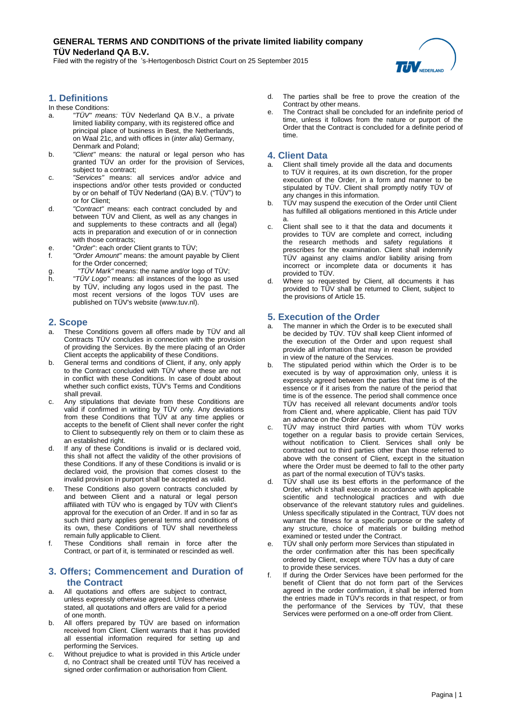# **GENERAL TERMS AND CONDITIONS of the private limited liability company TÜV Nederland QA B.V.**

Filed with the registry of the 's-Hertogenbosch District Court on 25 September 2015



# **1. Definitions**

#### In these Conditions:

- a. *"TÜV" means:* TÜV Nederland QA B.V., a private limited liability company, with its registered office and principal place of business in Best, the Netherlands, on Waal 21c, and with offices in (*inter alia*) Germany, Denmark and Poland;
- b. *"Client"* means: the natural or legal person who has granted TÜV an order for the provision of Services, subject to a contract:
- c. *"Services"* means: all services and/or advice and inspections and/or other tests provided or conducted by or on behalf of TÜV Nederland (QA) B.V. ("TÜV") to or for Client;
- d. *"Contract"* means: each contract concluded by and between TÜV and Client, as well as any changes in and supplements to these contracts and all (legal) acts in preparation and execution of or in connection with those contracts;
- e. "*Order*": each order Client grants to TÜV;
- f. *"Order Amount"* means: the amount payable by Client for the Order concerned;
- g. *"TÜV Mark"* means: the name and/or logo of TÜV;
- "TÜV Logo" means: all instances of the logo as used by TÜV, including any logos used in the past. The most recent versions of the logos TÜV uses are published on TÜV's websit[e \(www.tuv.nl\)](http://www.tuv.nl/).

### **2. Scope**

- a. These Conditions govern all offers made by TÜV and all Contracts TÜV concludes in connection with the provision of providing the Services. By the mere placing of an Order Client accepts the applicability of these Conditions.
- b. General terms and conditions of Client, if any, only apply to the Contract concluded with TÜV where these are not in conflict with these Conditions. In case of doubt about whether such conflict exists, TÜV's Terms and Conditions shall prevail.
- c. Any stipulations that deviate from these Conditions are valid if confirmed in writing by TÜV only. Any deviations from these Conditions that TÜV at any time applies or accepts to the benefit of Client shall never confer the right to Client to subsequently rely on them or to claim these as an established right.
- d. If any of these Conditions is invalid or is declared void, this shall not affect the validity of the other provisions of these Conditions. If any of these Conditions is invalid or is declared void, the provision that comes closest to the invalid provision in purport shall be accepted as valid.
- These Conditions also govern contracts concluded by and between Client and a natural or legal person affiliated with TÜV who is engaged by TÜV with Client's approval for the execution of an Order. If and in so far as such third party applies general terms and conditions of its own, these Conditions of TÜV shall nevertheless remain fully applicable to Client.
- f. These Conditions shall remain in force after the Contract, or part of it, is terminated or rescinded as well.

### **3. Offers; Commencement and Duration of the Contract**

- a. All quotations and offers are subject to contract, unless expressly otherwise agreed. Unless otherwise stated, all quotations and offers are valid for a period of one month.
- b. All offers prepared by TÜV are based on information received from Client. Client warrants that it has provided all essential information required for setting up and performing the Services.
- c. Without prejudice to what is provided in this Article under d, no Contract shall be created until TÜV has received a signed order confirmation or authorisation from Client.
- d. The parties shall be free to prove the creation of the Contract by other means.
- e. The Contract shall be concluded for an indefinite period of time, unless it follows from the nature or purport of the Order that the Contract is concluded for a definite period of time.

#### **4. Client Data**

- Client shall timely provide all the data and documents to TÜV it requires, at its own discretion, for the proper execution of the Order, in a form and manner to be stipulated by TÜV. Client shall promptly notify TÜV of any changes in this information.
- b. TÜV may suspend the execution of the Order until Client has fulfilled all obligations mentioned in this Article under a.
- c. Client shall see to it that the data and documents it provides to TÜV are complete and correct, including the research methods and safety regulations it prescribes for the examination. Client shall indemnify TÜV against any claims and/or liability arising from incorrect or incomplete data or documents it has provided to TÜV.
- d. Where so requested by Client, all documents it has provided to TÜV shall be returned to Client, subject to the provisions of Article 15.

## **5. Execution of the Order**

- The manner in which the Order is to be executed shall be decided by TÜV. TÜV shall keep Client informed of the execution of the Order and upon request shall provide all information that may in reason be provided in view of the nature of the Services.
- b. The stipulated period within which the Order is to be executed is by way of approximation only, unless it is expressly agreed between the parties that time is of the essence or if it arises from the nature of the period that time is of the essence. The period shall commence once TÜV has received all relevant documents and/or tools from Client and, where applicable, Client has paid TÜV an advance on the Order Amount.
- c. TÜV may instruct third parties with whom TÜV works together on a regular basis to provide certain Services, without notification to Client. Services shall only be contracted out to third parties other than those referred to above with the consent of Client, except in the situation where the Order must be deemed to fall to the other party as part of the normal execution of TÜV's tasks.
- d. TÜV shall use its best efforts in the performance of the Order, which it shall execute in accordance with applicable scientific and technological practices and with due observance of the relevant statutory rules and guidelines. Unless specifically stipulated in the Contract, TÜV does not warrant the fitness for a specific purpose or the safety of any structure, choice of materials or building method examined or tested under the Contract.
- e. TÜV shall only perform more Services than stipulated in the order confirmation after this has been specifically ordered by Client, except where TÜV has a duty of care to provide these services.
- f. If during the Order Services have been performed for the benefit of Client that do not form part of the Services agreed in the order confirmation, it shall be inferred from the entries made in TÜV's records in that respect, or from the performance of the Services by TÜV, that these Services were performed on a one-off order from Client.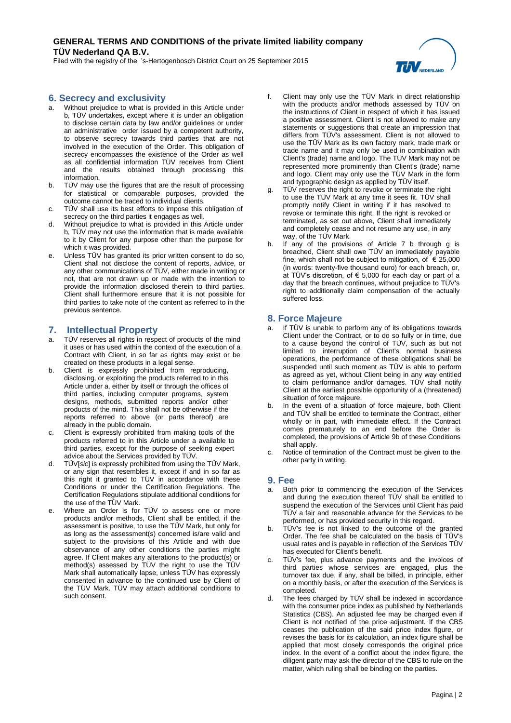# **GENERAL TERMS AND CONDITIONS of the private limited liability company TÜV Nederland QA B.V.**

Filed with the registry of the 's-Hertogenbosch District Court on 25 September 2015

## **6. Secrecy and exclusivity**

- a. Without prejudice to what is provided in this Article under b, TÜV undertakes, except where it is under an obligation to disclose certain data by law and/or guidelines or under an administrative order issued by a competent authority, to observe secrecy towards third parties that are not involved in the execution of the Order. This obligation of secrecy encompasses the existence of the Order as well as all confidential information TÜV receives from Client and the results obtained through processing this information.
- b. TÜV may use the figures that are the result of processing for statistical or comparable purposes, provided the outcome cannot be traced to individual clients.
- c. TÜV shall use its best efforts to impose this obligation of secrecy on the third parties it engages as well.
- d. Without prejudice to what is provided in this Article under b, TÜV may not use the information that is made available to it by Client for any purpose other than the purpose for which it was provided.
- e. Unless TÜV has granted its prior written consent to do so, Client shall not disclose the content of reports, advice, or any other communications of TÜV, either made in writing or not, that are not drawn up or made with the intention to provide the information disclosed therein to third parties. Client shall furthermore ensure that it is not possible for third parties to take note of the content as referred to in the previous sentence.

### **7. Intellectual Property**

- a. TÜV reserves all rights in respect of products of the mind it uses or has used within the context of the execution of a Contract with Client, in so far as rights may exist or be created on these products in a legal sense.
- b. Client is expressly prohibited from reproducing, disclosing, or exploiting the products referred to in this Article under a, either by itself or through the offices of third parties, including computer programs, system designs, methods, submitted reports and/or other products of the mind. This shall not be otherwise if the reports referred to above (or parts thereof) are already in the public domain.
- c. Client is expressly prohibited from making tools of the products referred to in this Article under a available to third parties, except for the purpose of seeking expert advice about the Services provided by TÜV.
- d. TÜV[*sic*] is expressly prohibited from using the TÜV Mark, or any sign that resembles it, except if and in so far as this right it granted to TÜV in accordance with these Conditions or under the Certification Regulations. The Certification Regulations stipulate additional conditions for the use of the TÜV Mark.
- Where an Order is for TÜV to assess one or more products and/or methods, Client shall be entitled, if the assessment is positive, to use the TÜV Mark, but only for as long as the assessment(s) concerned is/are valid and subject to the provisions of this Article and with due observance of any other conditions the parties might agree. If Client makes any alterations to the product(s) or method(s) assessed by TÜV the right to use the TÜV Mark shall automatically lapse, unless TÜV has expressly consented in advance to the continued use by Client of the TÜV Mark. TÜV may attach additional conditions to such consent.
- f. Client may only use the TÜV Mark in direct relationship with the products and/or methods assessed by TÜV on the instructions of Client in respect of which it has issued a positive assessment. Client is not allowed to make any statements or suggestions that create an impression that differs from TÜV's assessment. Client is not allowed to use the TÜV Mark as its own factory mark, trade mark or trade name and it may only be used in combination with Client's (trade) name and logo. The TÜV Mark may not be represented more prominently than Client's (trade) name and logo. Client may only use the TÜV Mark in the form and typographic design as applied by TÜV itself.
- g. TÜV reserves the right to revoke or terminate the right to use the TÜV Mark at any time it sees fit. TÜV shall promptly notify Client in writing if it has resolved to revoke or terminate this right. If the right is revoked or terminated, as set out above, Client shall immediately and completely cease and not resume any use, in any way, of the TÜV Mark.
- h. If any of the provisions of Article 7 b through g is breached, Client shall owe TÜV an immediately payable fine, which shall not be subject to mitigation, of  $\epsilon$  25,000 (in words: twenty-five thousand euro) for each breach, or, at TÜV's discretion, of  $\epsilon$  5,000 for each day or part of a day that the breach continues, without prejudice to TÜV's right to additionally claim compensation of the actually suffered loss.

#### **8. Force Majeure**

- a. If TÜV is unable to perform any of its obligations towards Client under the Contract, or to do so fully or in time, due to a cause beyond the control of TÜV, such as but not limited to interruption of Client's normal business operations, the performance of these obligations shall be suspended until such moment as TÜV is able to perform as agreed as yet, without Client being in any way entitled to claim performance and/or damages. TÜV shall notify Client at the earliest possible opportunity of a (threatened) situation of force majeure.
- b. In the event of a situation of force majeure, both Client and TÜV shall be entitled to terminate the Contract, either wholly or in part, with immediate effect. If the Contract comes prematurely to an end before the Order is completed, the provisions of Article 9b of these Conditions shall apply.
- c. Notice of termination of the Contract must be given to the other party in writing.

#### **9. Fee**

- a. Both prior to commencing the execution of the Services and during the execution thereof TÜV shall be entitled to suspend the execution of the Services until Client has paid TÜV a fair and reasonable advance for the Services to be performed, or has provided security in this regard.
- b. TÜV's fee is not linked to the outcome of the granted Order. The fee shall be calculated on the basis of TÜV's usual rates and is payable in reflection of the Services TÜV has executed for Client's benefit.
- c. TÜV's fee, plus advance payments and the invoices of third parties whose services are engaged, plus the turnover tax due, if any, shall be billed, in principle, either on a monthly basis, or after the execution of the Services is completed.
- d. The fees charged by TÜV shall be indexed in accordance with the consumer price index as published by Netherlands Statistics (CBS). An adjusted fee may be charged even if Client is not notified of the price adjustment. If the CBS ceases the publication of the said price index figure, or revises the basis for its calculation, an index figure shall be applied that most closely corresponds the original price index. In the event of a conflict about the index figure, the diligent party may ask the director of the CBS to rule on the matter, which ruling shall be binding on the parties.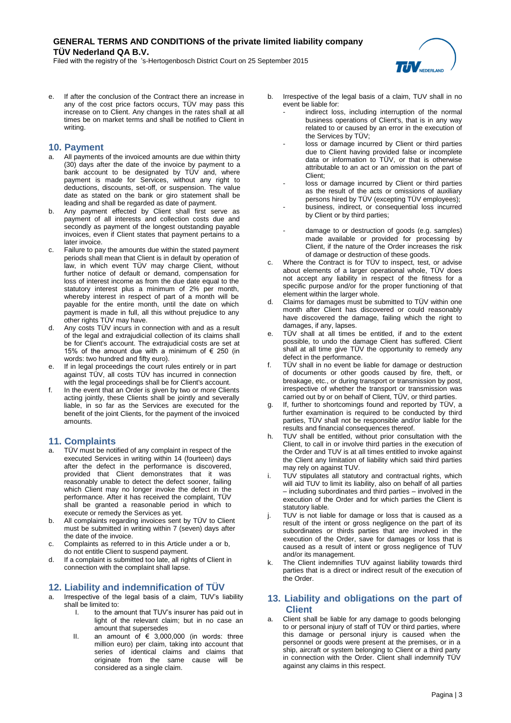Filed with the registry of the 's-Hertogenbosch District Court on 25 September 2015



e. If after the conclusion of the Contract there an increase in any of the cost price factors occurs, TÜV may pass this increase on to Client. Any changes in the rates shall at all times be on market terms and shall be notified to Client in writing.

## **10. Payment**

- All payments of the invoiced amounts are due within thirty (30) days after the date of the invoice by payment to a bank account to be designated by TUV and, where payment is made for Services, without any right to deductions, discounts, set-off, or suspension. The value date as stated on the bank or giro statement shall be leading and shall be regarded as date of payment.
- b. Any payment effected by Client shall first serve as payment of all interests and collection costs due and secondly as payment of the longest outstanding payable invoices, even if Client states that payment pertains to a later invoice.
- c. Failure to pay the amounts due within the stated payment periods shall mean that Client is in default by operation of law, in which event TÜV may charge Client, without further notice of default or demand, compensation for loss of interest income as from the due date equal to the statutory interest plus a minimum of 2% per month, whereby interest in respect of part of a month will be payable for the entire month, until the date on which payment is made in full, all this without prejudice to any other rights TÜV may have.
- Any costs TÜV incurs in connection with and as a result of the legal and extrajudicial collection of its claims shall be for Client's account. The extrajudicial costs are set at 15% of the amount due with a minimum of  $\epsilon$  250 (in words: two hundred and fifty euro).
- e. If in legal proceedings the court rules entirely or in part against TÜV, all costs TÜV has incurred in connection with the legal proceedings shall be for Client's account.
- In the event that an Order is given by two or more Clients acting jointly, these Clients shall be jointly and severally liable, in so far as the Services are executed for the benefit of the joint Clients, for the payment of the invoiced amounts.

### **11. Complaints**

- a. TÜV must be notified of any complaint in respect of the executed Services in writing within 14 (fourteen) days after the defect in the performance is discovered, provided that Client demonstrates that it was reasonably unable to detect the defect sooner, failing which Client may no longer invoke the defect in the performance. After it has received the complaint, TÜV shall be granted a reasonable period in which to execute or remedy the Services as yet.
- b. All complaints regarding invoices sent by TÜV to Client must be submitted in writing within 7 (seven) days after the date of the invoice.
- c. Complaints as referred to in this Article under a or b, do not entitle Client to suspend payment.
- d. If a complaint is submitted too late, all rights of Client in connection with the complaint shall lapse.

# **12. Liability and indemnification of TÜV**

- a. Irrespective of the legal basis of a claim, TUV's liability shall be limited to:
	- I. to the amount that TUV's insurer has paid out in light of the relevant claim; but in no case an amount that supersedes
	- II. an amount of  $\epsilon$  3,000,000 (in words: three million euro) per claim, taking into account that series of identical claims and claims that originate from the same cause will be considered as a single claim.
- b. Irrespective of the legal basis of a claim, TUV shall in no event be liable for:
	- indirect loss, including interruption of the normal business operations of Client's, that is in any way related to or caused by an error in the execution of the Services by TÜV;
	- loss or damage incurred by Client or third parties due to Client having provided false or incomplete data or information to TÜV, or that is otherwise attributable to an act or an omission on the part of Client;
	- loss or damage incurred by Client or third parties as the result of the acts or omissions of auxiliary persons hired by TÜV (excepting TÜV employees);
	- business, indirect, or consequential loss incurred by Client or by third parties;
	- damage to or destruction of goods (e.g. samples) made available or provided for processing by Client, if the nature of the Order increases the risk of damage or destruction of these goods.
- c. Where the Contract is for TÜV to inspect, test, or advise about elements of a larger operational whole, TÜV does not accept any liability in respect of the fitness for a specific purpose and/or for the proper functioning of that element within the larger whole.
- d. Claims for damages must be submitted to TÜV within one month after Client has discovered or could reasonably have discovered the damage, failing which the right to damages, if any, lapses.
- e. TÜV shall at all times be entitled, if and to the extent possible, to undo the damage Client has suffered. Client shall at all time give TÜV the opportunity to remedy any defect in the performance.
- f. TÜV shall in no event be liable for damage or destruction of documents or other goods caused by fire, theft, or breakage, etc., or during transport or transmission by post, irrespective of whether the transport or transmission was carried out by or on behalf of Client, TÜV, or third parties.
- g. If, further to shortcomings found and reported by TÜV, a further examination is required to be conducted by third parties, TÜV shall not be responsible and/or liable for the results and financial consequences thereof.
- h. TUV shall be entitled, without prior consultation with the Client, to call in or involve third parties in the execution of the Order and TUV is at all times entitled to invoke against the Client any limitation of liability which said third parties may rely on against TUV.
- i. TUV stipulates all statutory and contractual rights, which will aid TUV to limit its liability, also on behalf of all parties – including subordinates and third parties – involved in the execution of the Order and for which parties the Client is statutory liable.
- j. TUV is not liable for damage or loss that is caused as a result of the intent or gross negligence on the part of its subordinates or thirds parties that are involved in the execution of the Order, save for damages or loss that is caused as a result of intent or gross negligence of TUV and/or its management.
- k. The Client indemnifies TUV against liability towards third parties that is a direct or indirect result of the execution of the Order.

## **13. Liability and obligations on the part of Client**

Client shall be liable for any damage to goods belonging to or personal injury of staff of TÜV or third parties, where this damage or personal injury is caused when the personnel or goods were present at the premises, or in a ship, aircraft or system belonging to Client or a third party in connection with the Order. Client shall indemnify TÜV against any claims in this respect.